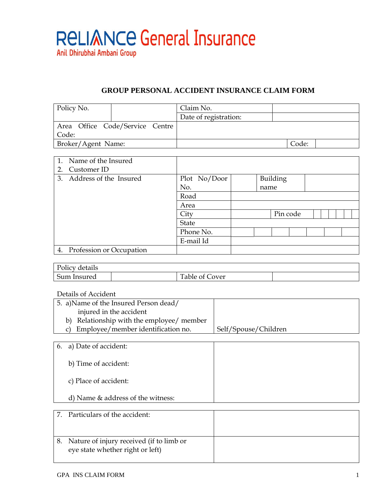

## **GROUP PERSONAL ACCIDENT INSURANCE CLAIM FORM**

| Policy No.                      | Claim No.             |       |
|---------------------------------|-----------------------|-------|
|                                 | Date of registration: |       |
| Area Office Code/Service Centre |                       |       |
| Code:                           |                       |       |
| Broker/Agent Name:              |                       | Code: |

| 1. Name of the Insured         |              |          |  |  |
|--------------------------------|--------------|----------|--|--|
| Customer ID<br>2.              |              |          |  |  |
| 3. Address of the Insured      | Plot No/Door | Building |  |  |
|                                | No.          | name     |  |  |
|                                | Road         |          |  |  |
|                                | Area         |          |  |  |
|                                | City         | Pin code |  |  |
|                                | <b>State</b> |          |  |  |
|                                | Phone No.    |          |  |  |
|                                | E-mail Id    |          |  |  |
| Profession or Occupation<br>4. |              |          |  |  |

| $\mathbf{r}$<br>$^{\circ}$<br>201027<br>letails<br>T OTTC |                                    |  |
|-----------------------------------------------------------|------------------------------------|--|
| Sum<br>. Insurec<br>____                                  | <b>TITLE</b><br>over<br>able<br>O1 |  |

Details of Accident

| 5. a) Name of the Insured Person dead/    |                      |
|-------------------------------------------|----------------------|
| injured in the accident                   |                      |
| b) Relationship with the employee/ member |                      |
| c) Employee/member identification no.     | Self/Spouse/Children |

| 6. a) Date of accident:             |  |
|-------------------------------------|--|
| b) Time of accident:                |  |
| c) Place of accident:               |  |
| d) Name $&$ address of the witness: |  |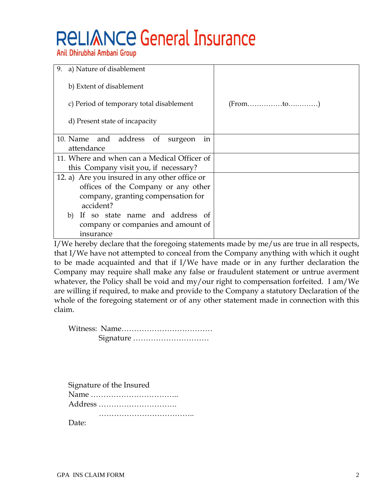## **RELIANCE General Insurance**

Anil Dhirubhai Ambani Group

| 9.<br>a) Nature of disablement                  |                                                          |
|-------------------------------------------------|----------------------------------------------------------|
| b) Extent of disablement                        |                                                          |
| c) Period of temporary total disablement        | $(From \dots \dots \dots \dots \dots \dots \dots \dots)$ |
| d) Present state of incapacity                  |                                                          |
| 10. Name and address of<br>surgeon<br>in        |                                                          |
| attendance                                      |                                                          |
| 11. Where and when can a Medical Officer of     |                                                          |
| this Company visit you, if necessary?           |                                                          |
| 12. a) Are you insured in any other office or   |                                                          |
| offices of the Company or any other             |                                                          |
| company, granting compensation for<br>accident? |                                                          |
| b) If so state name and address of              |                                                          |
| company or companies and amount of              |                                                          |
| insurance                                       |                                                          |

I/We hereby declare that the foregoing statements made by me/us are true in all respects, that I/We have not attempted to conceal from the Company anything with which it ought to be made acquainted and that if I/We have made or in any further declaration the Company may require shall make any false or fraudulent statement or untrue averment whatever, the Policy shall be void and my/our right to compensation forfeited. I am/We are willing if required, to make and provide to the Company a statutory Declaration of the whole of the foregoing statement or of any other statement made in connection with this claim.

| Signature of the Insured |
|--------------------------|
|                          |
| Address                  |
|                          |

Date: